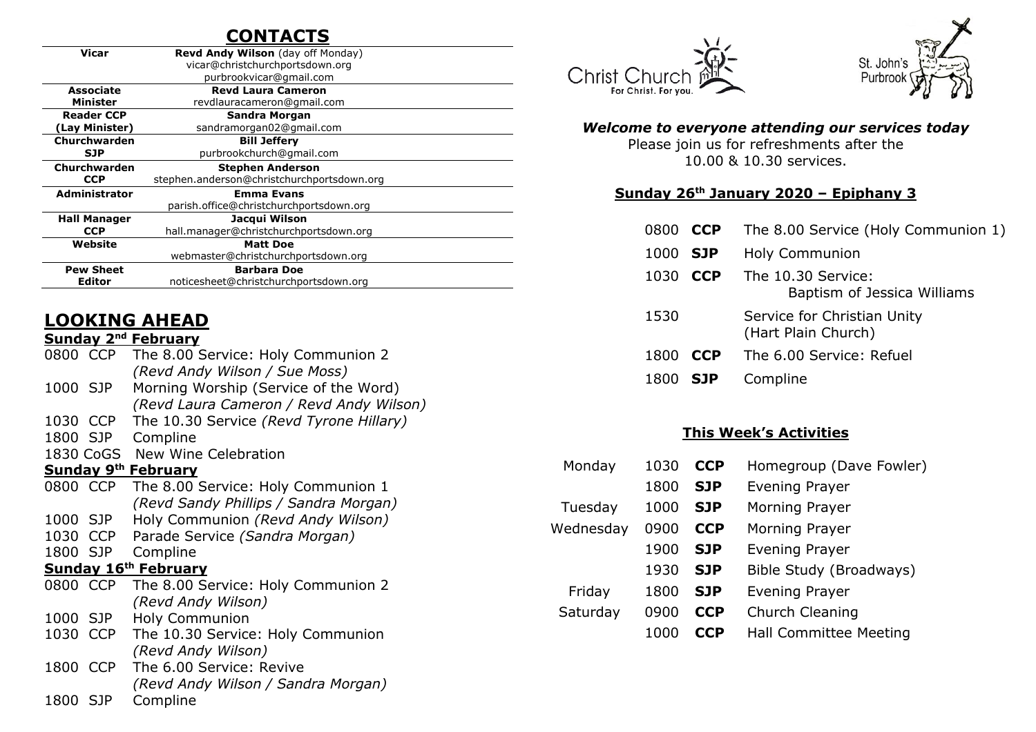# **CONTACTS**

| Vicar                      | <b>Revd Andy Wilson</b> (day off Monday)   |  |  |  |
|----------------------------|--------------------------------------------|--|--|--|
|                            | vicar@christchurchportsdown.org            |  |  |  |
|                            | purbrookvicar@gmail.com                    |  |  |  |
| <b>Associate</b>           | <b>Revd Laura Cameron</b>                  |  |  |  |
| Minister                   | revdlauracameron@gmail.com                 |  |  |  |
| <b>Reader CCP</b>          | <b>Sandra Morgan</b>                       |  |  |  |
| (Lay Minister)             | sandramorgan02@gmail.com                   |  |  |  |
| Churchwarden               | <b>Bill Jeffery</b>                        |  |  |  |
| <b>SJP</b>                 | purbrookchurch@gmail.com                   |  |  |  |
| Churchwarden               | <b>Stephen Anderson</b>                    |  |  |  |
| <b>CCP</b>                 | stephen.anderson@christchurchportsdown.org |  |  |  |
| <b>Administrator</b>       | <b>Emma Evans</b>                          |  |  |  |
|                            | parish.office@christchurchportsdown.org    |  |  |  |
| <b>Hall Manager</b>        | Jacqui Wilson                              |  |  |  |
| <b>CCP</b>                 | hall.manager@christchurchportsdown.org     |  |  |  |
| Website<br><b>Matt Doe</b> |                                            |  |  |  |
|                            | webmaster@christchurchportsdown.org        |  |  |  |
| <b>Pew Sheet</b>           | <b>Barbara Doe</b>                         |  |  |  |
| Editor                     | noticesheet@christchurchportsdown.org      |  |  |  |
|                            |                                            |  |  |  |

# **LOOKING AHEAD**

### **Sunday 2nd February**

| 0800 CCP                   |                             | The 8.00 Service: Holy Communion 2      |  |  |  |  |  |
|----------------------------|-----------------------------|-----------------------------------------|--|--|--|--|--|
|                            |                             | (Revd Andy Wilson / Sue Moss)           |  |  |  |  |  |
| 1000 SJP                   |                             | Morning Worship (Service of the Word)   |  |  |  |  |  |
|                            |                             | (Revd Laura Cameron / Revd Andy Wilson) |  |  |  |  |  |
| 1030 CCP                   |                             | The 10.30 Service (Revd Tyrone Hillary) |  |  |  |  |  |
| 1800                       | - SJP                       | Compline                                |  |  |  |  |  |
|                            |                             | 1830 CoGS New Wine Celebration          |  |  |  |  |  |
| <b>Sunday 9th February</b> |                             |                                         |  |  |  |  |  |
|                            | 0800 CCP                    | The 8.00 Service: Holy Communion 1      |  |  |  |  |  |
|                            |                             | (Revd Sandy Phillips / Sandra Morgan)   |  |  |  |  |  |
| 1000 SJP                   |                             | Holy Communion (Revd Andy Wilson)       |  |  |  |  |  |
| 1030                       | <b>CCP</b>                  | Parade Service (Sandra Morgan)          |  |  |  |  |  |
| 1800 SJP                   |                             | Compline                                |  |  |  |  |  |
|                            | <b>Sunday 16th February</b> |                                         |  |  |  |  |  |
|                            | 0800 CCP                    | The 8.00 Service: Holy Communion 2      |  |  |  |  |  |
|                            |                             | (Revd Andy Wilson)                      |  |  |  |  |  |
| 1000 SJP                   |                             | <b>Holy Communion</b>                   |  |  |  |  |  |
| 1030                       | <b>CCP</b>                  | The 10.30 Service: Holy Communion       |  |  |  |  |  |
|                            |                             | (Revd Andy Wilson)                      |  |  |  |  |  |
|                            | 1800 CCP                    | The 6.00 Service: Revive                |  |  |  |  |  |
|                            |                             | (Revd Andy Wilson / Sandra Morgan)      |  |  |  |  |  |
| 1800 SJP                   |                             | Compline                                |  |  |  |  |  |
|                            |                             |                                         |  |  |  |  |  |





#### *Welcome to everyone attending our services today*

Please join us for refreshments after the 10.00 & 10.30 services.

#### **Sunday 26th January 2020 – Epiphany 3**

|                 |            | 0800 CCP The 8.00 Service (Holy Communion 1)       |
|-----------------|------------|----------------------------------------------------|
| 1000 SJP        |            | <b>Holy Communion</b>                              |
| 1030 <b>CCP</b> |            | The 10.30 Service:<br>Baptism of Jessica Williams  |
| 1530            |            | Service for Christian Unity<br>(Hart Plain Church) |
| 1800            | <b>CCP</b> | The 6.00 Service: Refuel                           |
|                 |            |                                                    |

1800 **SJP** Compline

#### **This Week's Activities**

| Monday    | 1030 | <b>CCP</b> | Homegroup (Dave Fowler)       |
|-----------|------|------------|-------------------------------|
|           | 1800 | <b>SJP</b> | <b>Evening Prayer</b>         |
| Tuesday   | 1000 | <b>SJP</b> | Morning Prayer                |
| Wednesday | 0900 | <b>CCP</b> | Morning Prayer                |
|           | 1900 | <b>SJP</b> | <b>Evening Prayer</b>         |
|           | 1930 | <b>SJP</b> | Bible Study (Broadways)       |
| Friday    | 1800 | <b>SJP</b> | <b>Evening Prayer</b>         |
| Saturday  | 0900 | <b>CCP</b> | Church Cleaning               |
|           |      | CCP        | <b>Hall Committee Meeting</b> |
|           |      |            |                               |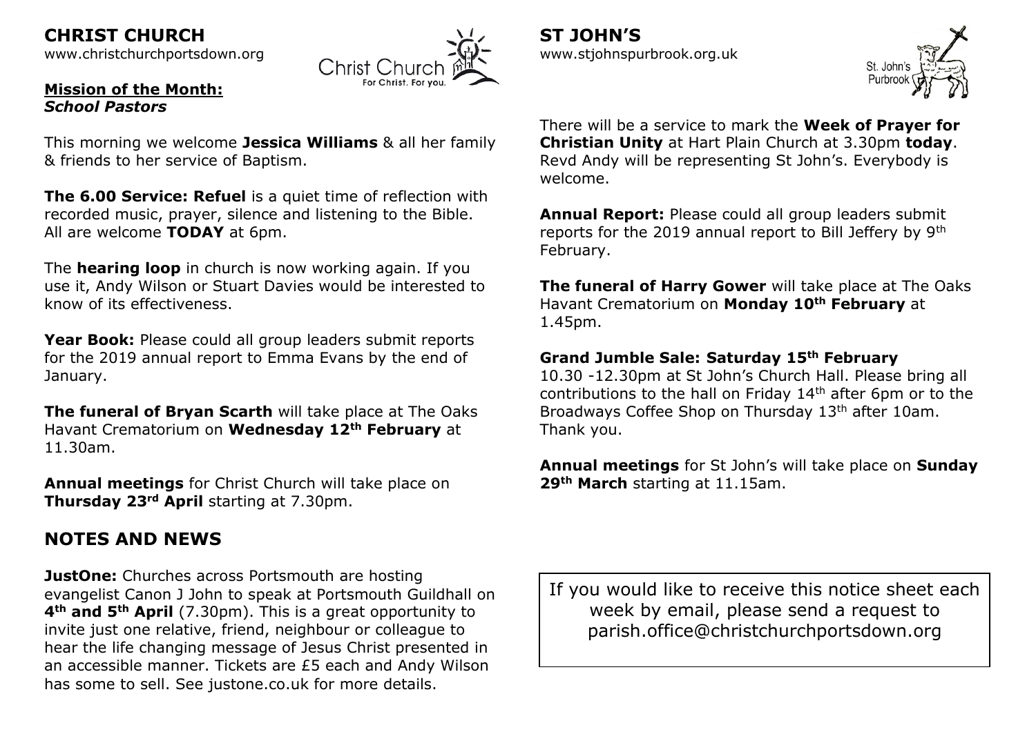**CHRIST CHURCH**  [www.christchurchportsdown.org](http://www.christchurchportsdown.org/) 



#### **Mission of the Month:** *School Pastors*

This morning we welcome **Jessica Williams** & all her family & friends to her service of Baptism.

**The 6.00 Service: Refuel** is a quiet time of reflection with recorded music, prayer, silence and listening to the Bible. All are welcome **TODAY** at 6pm.

The **hearing loop** in church is now working again. If you use it, Andy Wilson or Stuart Davies would be interested to know of its effectiveness.

**Year Book:** Please could all group leaders submit reports for the 2019 annual report to Emma Evans by the end of January.

**The funeral of Bryan Scarth** will take place at The Oaks Havant Crematorium on **Wednesday 12th February** at 11.30am.

**Annual meetings** for Christ Church will take place on **Thursday 23rd April** starting at 7.30pm.

# **NOTES AND NEWS**

**JustOne:** Churches across Portsmouth are hosting evangelist Canon J John to speak at Portsmouth Guildhall on **4th and 5th April** (7.30pm). This is a great opportunity to invite just one relative, friend, neighbour or colleague to hear the life changing message of Jesus Christ presented in an accessible manner. Tickets are £5 each and Andy Wilson has some to sell. See justone.co.uk for more details.

If you would like to receive this notice sheet each week by email, please send a request to parish.office@christchurchportsdown.org

[www.stjohnspurbrook.org.uk](http://www.stjohnspurbrook.org.uk/)

**ST JOHN'S**



There will be a service to mark the **Week of Prayer for Christian Unity** at Hart Plain Church at 3.30pm **today**. Revd Andy will be representing St John's. Everybody is welcome.

**Annual Report:** Please could all group leaders submit reports for the 2019 annual report to Bill Jeffery by 9th February.

**The funeral of Harry Gower** will take place at The Oaks Havant Crematorium on **Monday 10th February** at 1.45pm.

### **Grand Jumble Sale: Saturday 15th February**

10.30 -12.30pm at St John's Church Hall. Please bring all contributions to the hall on Friday  $14<sup>th</sup>$  after 6pm or to the Broadways Coffee Shop on Thursday 13th after 10am. Thank you.

**Annual meetings** for St John's will take place on **Sunday 29th March** starting at 11.15am.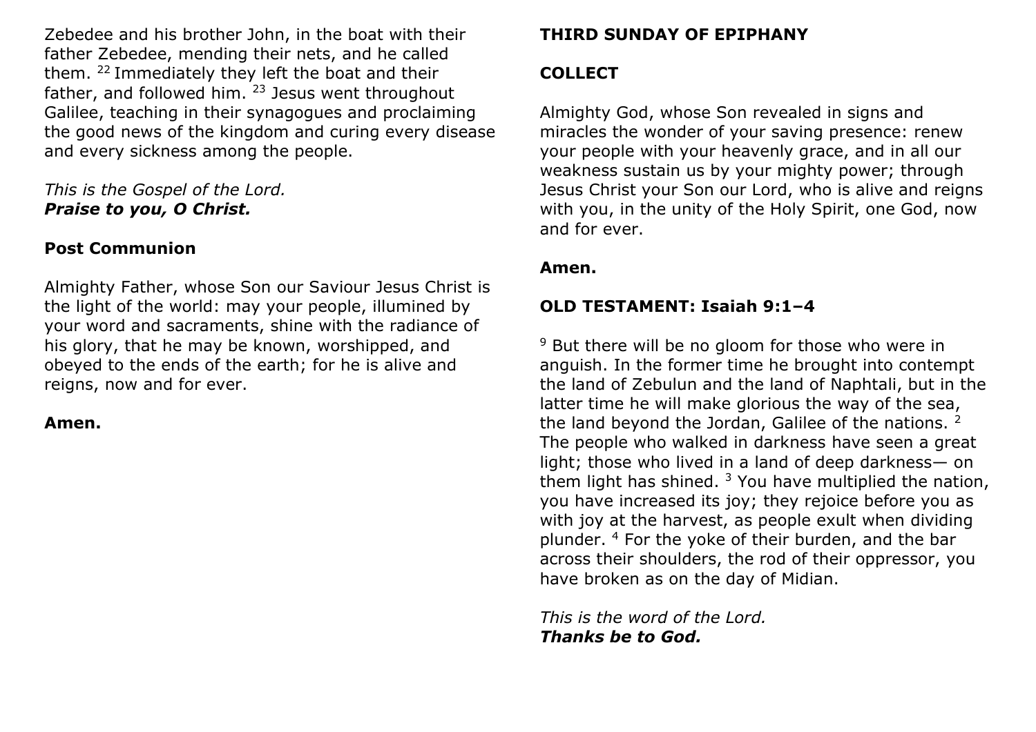Zebedee and his brother John, in the boat with their father Zebedee, mending their nets, and he called them. <sup>22</sup>Immediately they left the boat and their father, and followed him. <sup>23</sup> Jesus went throughout Galilee, teaching in their synagogues and proclaiming the good news of the kingdom and curing every disease and every sickness among the people.

*This is the Gospel of the Lord. Praise to you, O Christ.*

## **Post Communion**

Almighty Father, whose Son our Saviour Jesus Christ is the light of the world: may your people, illumined by your word and sacraments, shine with the radiance of his glory, that he may be known, worshipped, and obeyed to the ends of the earth; for he is alive and reigns, now and for ever.

**Amen.**

### **THIRD SUNDAY OF EPIPHANY**

### **COLLECT**

Almighty God, whose Son revealed in signs and miracles the wonder of your saving presence: renew your people with your heavenly grace, and in all our weakness sustain us by your mighty power; through Jesus Christ your Son our Lord, who is alive and reigns with you, in the unity of the Holy Spirit, one God, now and for ever.

### **Amen.**

# **OLD TESTAMENT: Isaiah 9:1–4**

<sup>9</sup> But there will be no gloom for those who were in anguish. In the former time he brought into contempt the land of Zebulun and the land of Naphtali, but in the latter time he will make glorious the way of the sea, the land beyond the Jordan, Galilee of the nations. <sup>2</sup> The people who walked in darkness have seen a great light; those who lived in a land of deep darkness— on them light has shined.  $3$  You have multiplied the nation, you have increased its joy; they rejoice before you as with joy at the harvest, as people exult when dividing plunder. <sup>4</sup> For the yoke of their burden, and the bar across their shoulders, the rod of their oppressor, you have broken as on the day of Midian.

*This is the word of the Lord. Thanks be to God.*